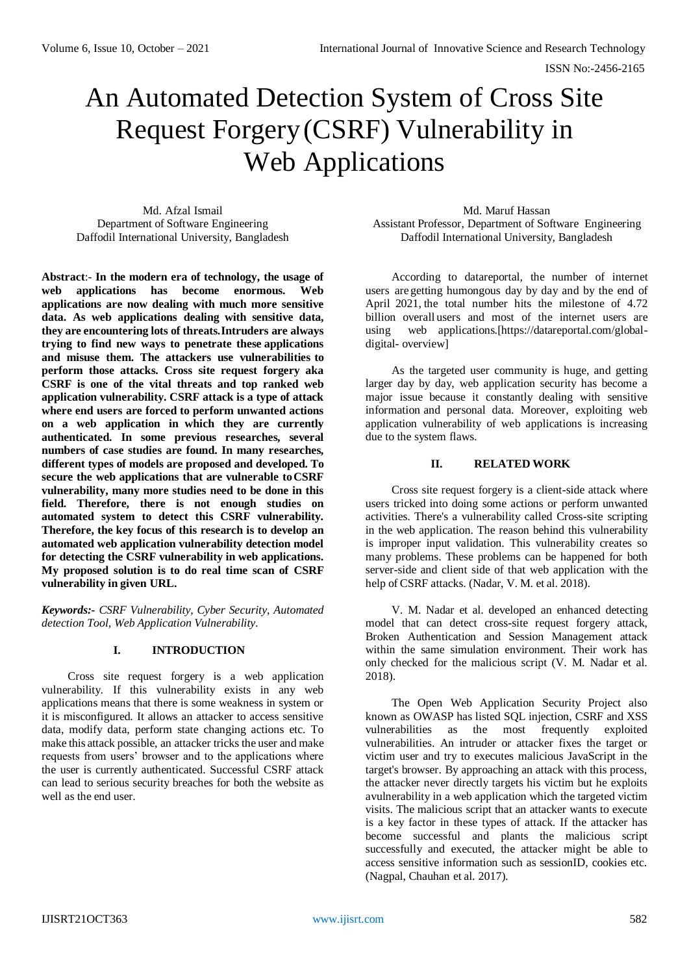# An Automated Detection System of Cross Site Request Forgery(CSRF) Vulnerability in Web Applications

Md. Afzal Ismail Department of Software Engineering Daffodil International University, Bangladesh

**Abstract**:- **In the modern era of technology, the usage of web applications has become enormous. Web applications are now dealing with much more sensitive data. As web applications dealing with sensitive data, they are encountering lots of threats.Intruders are always trying to find new ways to penetrate these applications and misuse them. The attackers use vulnerabilities to perform those attacks. Cross site request forgery aka CSRF is one of the vital threats and top ranked web application vulnerability. CSRF attack is a type of attack where end users are forced to perform unwanted actions on a web application in which they are currently authenticated. In some previous researches, several numbers of case studies are found. In many researches, different types of models are proposed and developed. To secure the web applications that are vulnerable toCSRF vulnerability, many more studies need to be done in this field. Therefore, there is not enough studies on automated system to detect this CSRF vulnerability. Therefore, the key focus of this research is to develop an automated web application vulnerability detection model for detecting the CSRF vulnerability in web applications. My proposed solution is to do real time scan of CSRF vulnerability in given URL.**

*Keywords:- CSRF Vulnerability, Cyber Security, Automated detection Tool, Web Application Vulnerability.*

# **I. INTRODUCTION**

Cross site request forgery is a web application vulnerability. If this vulnerability exists in any web applications means that there is some weakness in system or it is misconfigured. It allows an attacker to access sensitive data, modify data, perform state changing actions etc. To make this attack possible, an attacker tricks the user and make requests from users' browser and to the applications where the user is currently authenticated. Successful CSRF attack can lead to serious security breaches for both the website as well as the end user.

#### Md. Maruf Hassan

Assistant Professor, Department of Software Engineering Daffodil International University, Bangladesh

According to datareportal, the number of internet users are getting humongous day by day and by the end of April 2021, the total number hits the milestone of 4.72 billion overall users and most of the internet users are using web applications.[https://datareportal.com/globaldigital- overview]

As the targeted user community is huge, and getting larger day by day, web application security has become a major issue because it constantly dealing with sensitive information and personal data. Moreover, exploiting web application vulnerability of web applications is increasing due to the system flaws.

# **II. RELATED WORK**

Cross site request forgery is a client-side attack where users tricked into doing some actions or perform unwanted activities. There's a vulnerability called Cross-site scripting in the web application. The reason behind this vulnerability is improper input validation. This vulnerability creates so many problems. These problems can be happened for both server-side and client side of that web application with the help of CSRF attacks. (Nadar, V. M. et al. 2018).

V. M. Nadar et al. developed an enhanced detecting model that can detect cross-site request forgery attack, Broken Authentication and Session Management attack within the same simulation environment. Their work has only checked for the malicious script (V. M. Nadar et al. 2018).

The Open Web Application Security Project also known as OWASP has listed SQL injection, CSRF and XSS vulnerabilities as the most frequently exploited vulnerabilities. An intruder or attacker fixes the target or victim user and try to executes malicious JavaScript in the target's browser. By approaching an attack with this process, the attacker never directly targets his victim but he exploits avulnerability in a web application which the targeted victim visits. The malicious script that an attacker wants to execute is a key factor in these types of attack. If the attacker has become successful and plants the malicious script successfully and executed, the attacker might be able to access sensitive information such as sessionID, cookies etc. (Nagpal, Chauhan et al. 2017).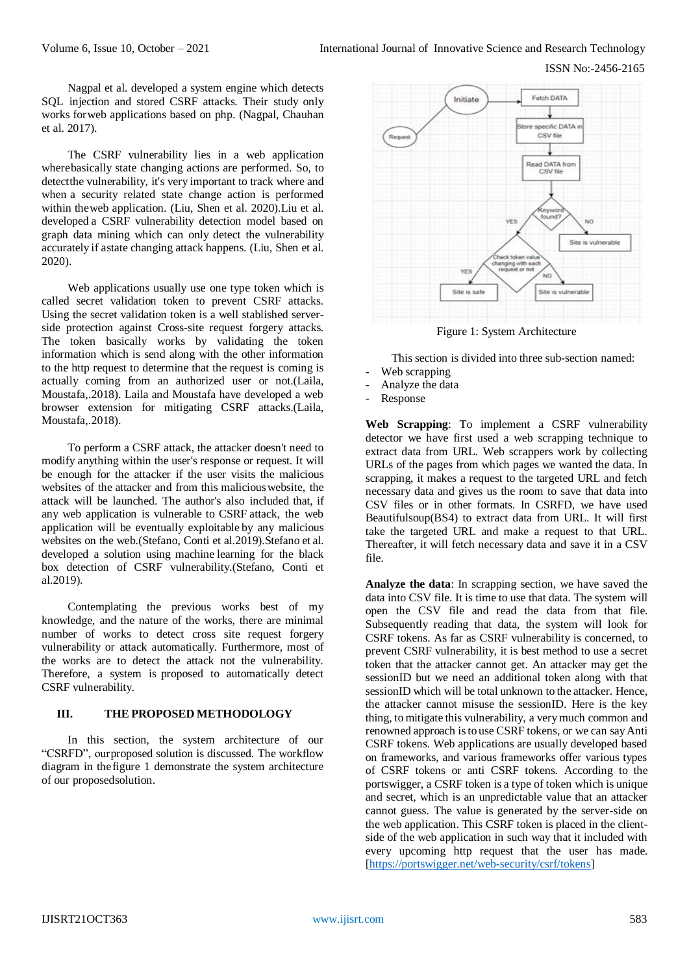Nagpal et al. developed a system engine which detects SQL injection and stored CSRF attacks. Their study only works forweb applications based on php. (Nagpal, Chauhan et al. 2017).

The CSRF vulnerability lies in a web application wherebasically state changing actions are performed. So, to detectthe vulnerability, it's very important to track where and when a security related state change action is performed within theweb application. (Liu, Shen et al. 2020).Liu et al. developed a CSRF vulnerability detection model based on graph data mining which can only detect the vulnerability accurately if astate changing attack happens. (Liu, Shen et al. 2020).

Web applications usually use one type token which is called secret validation token to prevent CSRF attacks. Using the secret validation token is a well stablished serverside protection against Cross-site request forgery attacks. The token basically works by validating the token information which is send along with the other information to the http request to determine that the request is coming is actually coming from an authorized user or not.(Laila, Moustafa,.2018). Laila and Moustafa have developed a web browser extension for mitigating CSRF attacks.(Laila, Moustafa,.2018).

To perform a CSRF attack, the attacker doesn't need to modify anything within the user's response or request. It will be enough for the attacker if the user visits the malicious websites of the attacker and from this malicious website, the attack will be launched. The author's also included that, if any web application is vulnerable to CSRF attack, the web application will be eventually exploitable by any malicious websites on the web.(Stefano, Conti et al.2019).Stefano et al. developed a solution using machine learning for the black box detection of CSRF vulnerability.(Stefano, Conti et al.2019).

Contemplating the previous works best of my knowledge, and the nature of the works, there are minimal number of works to detect cross site request forgery vulnerability or attack automatically. Furthermore, most of the works are to detect the attack not the vulnerability. Therefore, a system is proposed to automatically detect CSRF vulnerability.

## **III. THE PROPOSED METHODOLOGY**

In this section, the system architecture of our "CSRFD", ourproposed solution is discussed. The workflow diagram in the figure 1 demonstrate the system architecture of our proposedsolution.



Figure 1: System Architecture

This section is divided into three sub-section named:

- Web scrapping
- Analyze the data
- **Response**

**Web Scrapping**: To implement a CSRF vulnerability detector we have first used a web scrapping technique to extract data from URL. Web scrappers work by collecting URLs of the pages from which pages we wanted the data. In scrapping, it makes a request to the targeted URL and fetch necessary data and gives us the room to save that data into CSV files or in other formats. In CSRFD, we have used Beautifulsoup(BS4) to extract data from URL. It will first take the targeted URL and make a request to that URL. Thereafter, it will fetch necessary data and save it in a CSV file.

**Analyze the data**: In scrapping section, we have saved the data into CSV file. It is time to use that data. The system will open the CSV file and read the data from that file. Subsequently reading that data, the system will look for CSRF tokens. As far as CSRF vulnerability is concerned, to prevent CSRF vulnerability, it is best method to use a secret token that the attacker cannot get. An attacker may get the sessionID but we need an additional token along with that sessionID which will be total unknown to the attacker. Hence, the attacker cannot misuse the sessionID. Here is the key thing, to mitigate this vulnerability, a verymuch common and renowned approach isto use CSRF tokens, or we can sayAnti CSRF tokens. Web applications are usually developed based on frameworks, and various frameworks offer various types of CSRF tokens or anti CSRF tokens. According to the portswigger, a CSRF token is a type of token which is unique and secret, which is an unpredictable value that an attacker cannot guess. The value is generated by the server-side on the web application. This CSRF token is placed in the clientside of the web application in such way that it included with every upcoming http request that the user has made. [\[https://portswigger.net/web-security/csrf/tokens\]](https://portswigger.net/web-security/csrf/tokens)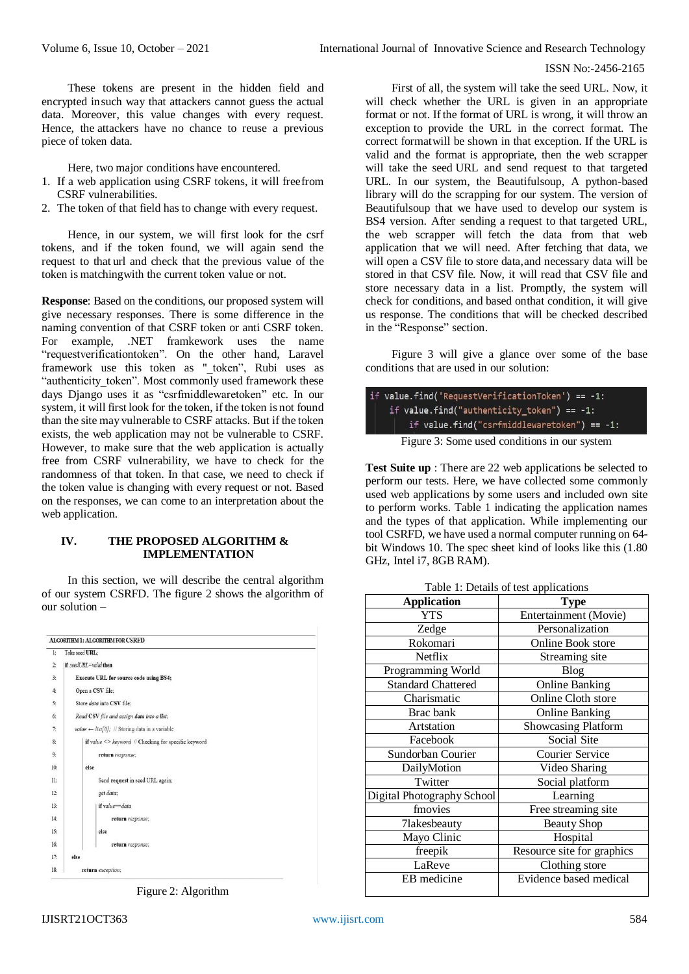## ISSN No:-2456-2165

These tokens are present in the hidden field and encrypted insuch way that attackers cannot guess the actual data. Moreover, this value changes with every request. Hence, the attackers have no chance to reuse a previous piece of token data.

Here, two major conditions have encountered.

- 1. If a web application using CSRF tokens, it will freefrom CSRF vulnerabilities.
- 2. The token of that field has to change with every request.

Hence, in our system, we will first look for the csrf tokens, and if the token found, we will again send the request to that url and check that the previous value of the token is matchingwith the current token value or not.

**Response**: Based on the conditions, our proposed system will give necessary responses. There is some difference in the naming convention of that CSRF token or anti CSRF token. For example, .NET framkework uses the name "requestverificationtoken". On the other hand, Laravel framework use this token as " token", Rubi uses as "authenticity token". Most commonly used framework these days Django uses it as "csrfmiddlewaretoken" etc. In our system, it will first look for the token, if the token is not found than the site may vulnerable to CSRF attacks. But if the token exists, the web application may not be vulnerable to CSRF. However, to make sure that the web application is actually free from CSRF vulnerability, we have to check for the randomness of that token. In that case, we need to check if the token value is changing with every request or not. Based on the responses, we can come to an interpretation about the web application.

# **IV. THE PROPOSED ALGORITHM & IMPLEMENTATION**

In this section, we will describe the central algorithm of our system CSRFD. The figure 2 shows the algorithm of our solution –

| 1:  | Take seed URL:                                            |  |  |  |
|-----|-----------------------------------------------------------|--|--|--|
| 2:  | if seedURL=valid then                                     |  |  |  |
| 3:  | <b>Execute URL for source code using BS4;</b>             |  |  |  |
| 4:  | Open a CSV file:                                          |  |  |  |
| 5:  | Store data into CSV file:                                 |  |  |  |
| 6:  | Read CSV file and assign data into a list;                |  |  |  |
| 7:  | value $\leftarrow$ list[0]; // Storing data in a variable |  |  |  |
| 8:  | if value <> keyword // Checking for specific keyword      |  |  |  |
| 9:  | return response;                                          |  |  |  |
| 10: | else                                                      |  |  |  |
| 11: | Send request in seed URL again;                           |  |  |  |
| 12: | get data:                                                 |  |  |  |
| 13: | if value==data                                            |  |  |  |
| 14: | return response;                                          |  |  |  |
| 15: | else                                                      |  |  |  |
| 16: | return response;                                          |  |  |  |
| 17: | else                                                      |  |  |  |
| 18: | return exception;                                         |  |  |  |

Figure 2: Algorithm

First of all, the system will take the seed URL. Now, it will check whether the URL is given in an appropriate format or not. If the format of URL is wrong, it will throw an exception to provide the URL in the correct format. The correct formatwill be shown in that exception. If the URL is valid and the format is appropriate, then the web scrapper will take the seed URL and send request to that targeted URL. In our system, the Beautifulsoup, A python-based library will do the scrapping for our system. The version of Beautifulsoup that we have used to develop our system is BS4 version. After sending a request to that targeted URL, the web scrapper will fetch the data from that web application that we will need. After fetching that data, we will open a CSV file to store data, and necessary data will be stored in that CSV file. Now, it will read that CSV file and store necessary data in a list. Promptly, the system will check for conditions, and based onthat condition, it will give us response. The conditions that will be checked described in the "Response" section.

Figure 3 will give a glance over some of the base conditions that are used in our solution:

| if value.find('RequestVerificationToken') == -1: |
|--------------------------------------------------|
| if value.find("authenticity token") == $-1$ :    |
| if $value.find("csrfmiddlewaretoken") == -1:$    |
| Figure 3: Some used conditions in our system     |

**Test Suite up** : There are 22 web applications be selected to perform our tests. Here, we have collected some commonly used web applications by some users and included own site to perform works. Table 1 indicating the application names and the types of that application. While implementing our tool CSRFD, we have used a normal computer running on 64 bit Windows 10. The spec sheet kind of looks like this (1.80 GHz, Intel i7, 8GB RAM).

| <b>Application</b>         | <b>Type</b>                |  |  |
|----------------------------|----------------------------|--|--|
| <b>YTS</b>                 | Entertainment (Movie)      |  |  |
| Zedge                      | Personalization            |  |  |
| Rokomari                   | Online Book store          |  |  |
| Netflix                    | Streaming site             |  |  |
| Programming World          | Blog                       |  |  |
| <b>Standard Chattered</b>  | <b>Online Banking</b>      |  |  |
| Charismatic                | Online Cloth store         |  |  |
| Brac bank                  | <b>Online Banking</b>      |  |  |
| Artstation                 | Showcasing Platform        |  |  |
| Facebook                   | Social Site                |  |  |
| Sundorban Courier          | <b>Courier Service</b>     |  |  |
| DailyMotion                | Video Sharing              |  |  |
| Twitter                    | Social platform            |  |  |
| Digital Photography School | Learning                   |  |  |
| fmovies                    | Free streaming site        |  |  |
| 7lakesbeauty               | <b>Beauty Shop</b>         |  |  |
| Mayo Clinic                | Hospital                   |  |  |
| freepik                    | Resource site for graphics |  |  |
| LaReve                     | Clothing store             |  |  |
| EB medicine                | Evidence based medical     |  |  |
|                            |                            |  |  |

Table 1: Details of test applications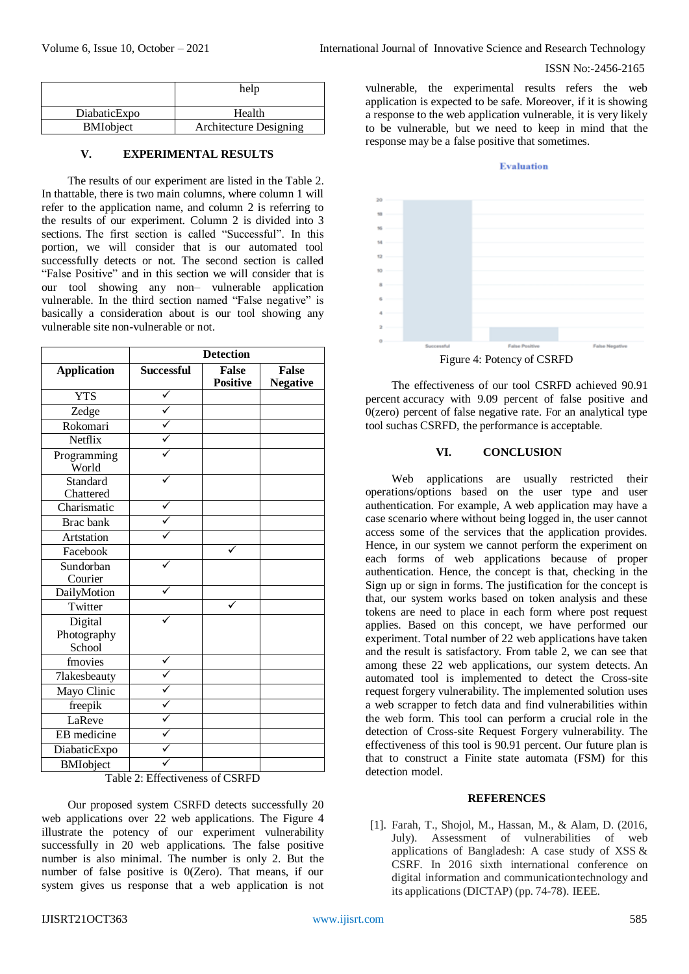### ISSN No:-2456-2165

|                  | help                          |  |
|------------------|-------------------------------|--|
| DiabaticExpo     | Health                        |  |
| <b>BMIobject</b> | <b>Architecture Designing</b> |  |

#### **V. EXPERIMENTAL RESULTS**

The results of our experiment are listed in the Table 2. In thattable, there is two main columns, where column 1 will refer to the application name, and column 2 is referring to the results of our experiment. Column 2 is divided into 3 sections. The first section is called "Successful". In this portion, we will consider that is our automated tool successfully detects or not. The second section is called "False Positive" and in this section we will consider that is our tool showing any non– vulnerable application vulnerable. In the third section named "False negative" is basically a consideration about is our tool showing any vulnerable site non-vulnerable or not.

|                                  | <b>Detection</b>  |                                 |                                 |  |
|----------------------------------|-------------------|---------------------------------|---------------------------------|--|
| <b>Application</b>               | <b>Successful</b> | <b>False</b><br><b>Positive</b> | <b>False</b><br><b>Negative</b> |  |
| <b>YTS</b>                       |                   |                                 |                                 |  |
| Zedge                            |                   |                                 |                                 |  |
| Rokomari                         |                   |                                 |                                 |  |
| Netflix                          |                   |                                 |                                 |  |
| Programming<br>World             |                   |                                 |                                 |  |
| Standard<br>Chattered            |                   |                                 |                                 |  |
| Charismatic                      |                   |                                 |                                 |  |
| Brac bank                        |                   |                                 |                                 |  |
| Artstation                       |                   |                                 |                                 |  |
| Facebook                         |                   |                                 |                                 |  |
| Sundorban<br>Courier             |                   |                                 |                                 |  |
| DailyMotion                      |                   |                                 |                                 |  |
| Twitter                          |                   |                                 |                                 |  |
| Digital<br>Photography<br>School |                   |                                 |                                 |  |
| fmovies                          |                   |                                 |                                 |  |
| 7lakesbeauty                     |                   |                                 |                                 |  |
| Mayo Clinic                      |                   |                                 |                                 |  |
| freepik                          |                   |                                 |                                 |  |
| LaReve                           |                   |                                 |                                 |  |
| EB medicine                      |                   |                                 |                                 |  |
| DiabaticExpo                     |                   |                                 |                                 |  |
| <b>BMIobject</b>                 |                   |                                 |                                 |  |

Table 2: Effectiveness of CSRFD

Our proposed system CSRFD detects successfully 20 web applications over 22 web applications. The Figure 4 illustrate the potency of our experiment vulnerability successfully in 20 web applications. The false positive number is also minimal. The number is only 2. But the number of false positive is 0(Zero). That means, if our system gives us response that a web application is not

vulnerable, the experimental results refers the web application is expected to be safe. Moreover, if it is showing a response to the web application vulnerable, it is very likely to be vulnerable, but we need to keep in mind that the response may be a false positive that sometimes.

#### **Evaluation**



The effectiveness of our tool CSRFD achieved 90.91 percent accuracy with 9.09 percent of false positive and 0(zero) percent of false negative rate. For an analytical type tool suchas CSRFD, the performance is acceptable.

# **VI. CONCLUSION**

Web applications are usually restricted their operations/options based on the user type and user authentication. For example, A web application may have a case scenario where without being logged in, the user cannot access some of the services that the application provides. Hence, in our system we cannot perform the experiment on each forms of web applications because of proper authentication. Hence, the concept is that, checking in the Sign up or sign in forms. The justification for the concept is that, our system works based on token analysis and these tokens are need to place in each form where post request applies. Based on this concept, we have performed our experiment. Total number of 22 web applications have taken and the result is satisfactory. From table 2, we can see that among these 22 web applications, our system detects. An automated tool is implemented to detect the Cross-site request forgery vulnerability. The implemented solution uses a web scrapper to fetch data and find vulnerabilities within the web form. This tool can perform a crucial role in the detection of Cross-site Request Forgery vulnerability. The effectiveness of this tool is 90.91 percent. Our future plan is that to construct a Finite state automata (FSM) for this detection model.

#### **REFERENCES**

[1]. Farah, T., Shojol, M., Hassan, M., & Alam, D. (2016, July). Assessment of vulnerabilities of web applications of Bangladesh: A case study of XSS & CSRF. In 2016 sixth international conference on digital information and communicationtechnology and its applications(DICTAP) (pp. 74-78). IEEE.